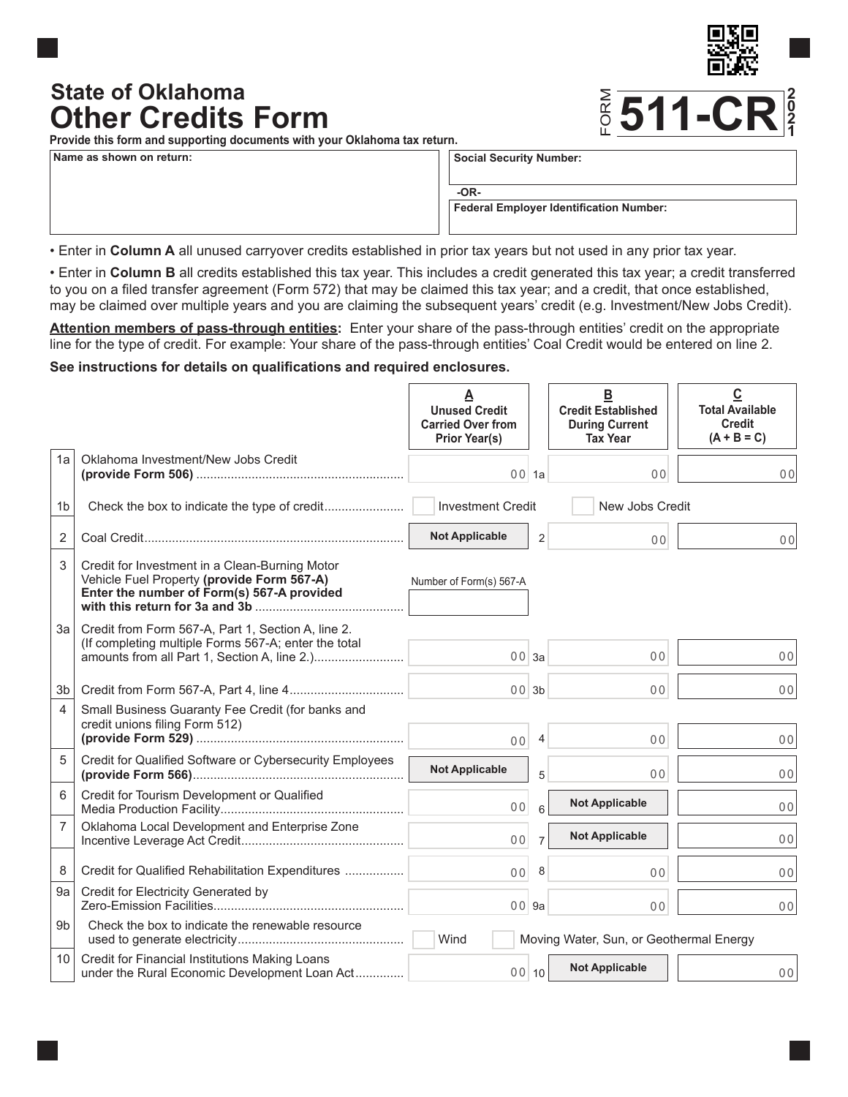# **Other Credits Form State of Oklahoma**



**Provide this form and supporting documents with your Oklahoma tax return.**

**Name as shown on return:**

**Social Security Number:**

**-OR-**

**Federal Employer Identification Number:**

• Enter in **Column A** all unused carryover credits established in prior tax years but not used in any prior tax year.

• Enter in **Column B** all credits established this tax year. This includes a credit generated this tax year; a credit transferred to you on a filed transfer agreement (Form 572) that may be claimed this tax year; and a credit, that once established, may be claimed over multiple years and you are claiming the subsequent years' credit (e.g. Investment/New Jobs Credit).

**Attention members of pass-through entities:** Enter your share of the pass-through entities' credit on the appropriate line for the type of credit. For example: Your share of the pass-through entities' Coal Credit would be entered on line 2.

#### **See instructions for details on qualifications and required enclosures.**

|                |                                                                                                                                            | A<br><b>Unused Credit</b><br><b>Carried Over from</b><br><b>Prior Year(s)</b> |                | <u>B</u><br><b>Credit Established</b><br><b>During Current</b><br><b>Tax Year</b> | C<br><b>Total Available</b><br><b>Credit</b><br>$(A + B = C)$ |
|----------------|--------------------------------------------------------------------------------------------------------------------------------------------|-------------------------------------------------------------------------------|----------------|-----------------------------------------------------------------------------------|---------------------------------------------------------------|
| 1a             | Oklahoma Investment/New Jobs Credit                                                                                                        | 001a                                                                          |                | 0 <sub>0</sub>                                                                    | 0 <sub>0</sub>                                                |
| 1 <sub>b</sub> |                                                                                                                                            | <b>Investment Credit</b>                                                      |                | New Jobs Credit                                                                   |                                                               |
| 2              |                                                                                                                                            | <b>Not Applicable</b>                                                         | $\overline{2}$ | 0 <sup>0</sup>                                                                    | 00                                                            |
| 3              | Credit for Investment in a Clean-Burning Motor<br>Vehicle Fuel Property (provide Form 567-A)<br>Enter the number of Form(s) 567-A provided | Number of Form(s) 567-A                                                       |                |                                                                                   |                                                               |
| 3a             | Credit from Form 567-A, Part 1, Section A, line 2.<br>(If completing multiple Forms 567-A; enter the total                                 | 003a                                                                          |                | 0 <sub>0</sub>                                                                    | 00                                                            |
| 3b             |                                                                                                                                            | 003b                                                                          |                | 0 <sub>0</sub>                                                                    | 00                                                            |
| $\overline{4}$ | Small Business Guaranty Fee Credit (for banks and<br>credit unions filing Form 512)                                                        | 0 <sub>0</sub>                                                                | $\overline{4}$ | 0 <sub>0</sub>                                                                    | 00                                                            |
| 5              | Credit for Qualified Software or Cybersecurity Employees                                                                                   | <b>Not Applicable</b>                                                         | 5              | 0 <sub>0</sub>                                                                    | 00                                                            |
| 6              | Credit for Tourism Development or Qualified                                                                                                | 0 <sub>0</sub>                                                                | 6              | <b>Not Applicable</b>                                                             | 0 <sub>0</sub>                                                |
| $\overline{7}$ | Oklahoma Local Development and Enterprise Zone                                                                                             | 0 <sub>0</sub>                                                                | $\overline{7}$ | <b>Not Applicable</b>                                                             | 00                                                            |
| 8              | Credit for Qualified Rehabilitation Expenditures                                                                                           | 0 <sup>0</sup>                                                                | 8              | 0 <sub>0</sub>                                                                    | 00 <sup>1</sup>                                               |
| 9a             | Credit for Electricity Generated by                                                                                                        | $00$ 9a                                                                       |                | 0 <sub>0</sub>                                                                    | 00                                                            |
| 9 <sub>b</sub> | Check the box to indicate the renewable resource                                                                                           | Wind                                                                          |                | Moving Water, Sun, or Geothermal Energy                                           |                                                               |
| 10             | Credit for Financial Institutions Making Loans<br>under the Rural Economic Development Loan Act                                            | 00 10                                                                         |                | <b>Not Applicable</b>                                                             | 00                                                            |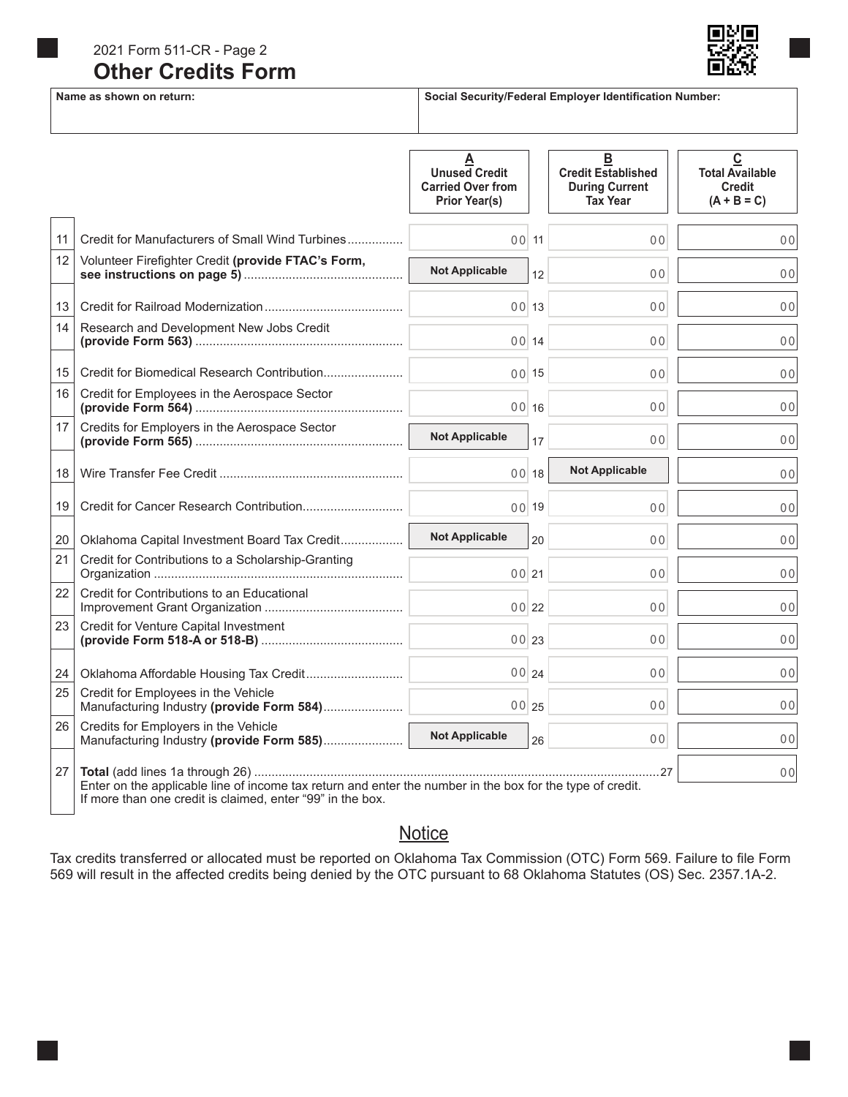### **Other Credits Form** 2021 Form 511-CR - Page 2



#### Name as shown on return: **Name as shown on return: Social Security/Federal Employer Identification Number:**

|    |                                                                                                           | А<br><b>Unused Credit</b><br><b>Carried Over from</b><br><b>Prior Year(s)</b> |    | B<br><b>Credit Established</b><br><b>During Current</b><br><b>Tax Year</b> | $\mathbf c$<br><b>Total Available</b><br><b>Credit</b><br>$(A + B = C)$ |
|----|-----------------------------------------------------------------------------------------------------------|-------------------------------------------------------------------------------|----|----------------------------------------------------------------------------|-------------------------------------------------------------------------|
| 11 | Credit for Manufacturers of Small Wind Turbines                                                           | 00 11                                                                         |    | 0 <sub>0</sub>                                                             | 00                                                                      |
| 12 | Volunteer Firefighter Credit (provide FTAC's Form,                                                        | <b>Not Applicable</b>                                                         | 12 | 0 <sub>0</sub>                                                             | 0 <sub>0</sub>                                                          |
| 13 |                                                                                                           | 00113                                                                         |    | 0 <sub>0</sub>                                                             | 0 <sub>0</sub>                                                          |
| 14 | Research and Development New Jobs Credit                                                                  | 00114                                                                         |    | 0 <sub>0</sub>                                                             | 0 <sub>0</sub>                                                          |
| 15 |                                                                                                           | 00 15                                                                         |    | 0 <sub>0</sub>                                                             | 0 <sub>0</sub>                                                          |
| 16 | Credit for Employees in the Aerospace Sector                                                              | 00116                                                                         |    | 0 <sub>0</sub>                                                             | 0 <sub>0</sub>                                                          |
| 17 | Credits for Employers in the Aerospace Sector                                                             | <b>Not Applicable</b>                                                         | 17 | 0 <sub>0</sub>                                                             | 0 <sub>0</sub>                                                          |
| 18 |                                                                                                           | 0018                                                                          |    | <b>Not Applicable</b>                                                      | 0 <sub>0</sub>                                                          |
| 19 |                                                                                                           | 0019                                                                          |    | 0 <sub>0</sub>                                                             | 00                                                                      |
| 20 | Oklahoma Capital Investment Board Tax Credit                                                              | <b>Not Applicable</b>                                                         | 20 | 0 <sub>0</sub>                                                             | 0 <sub>0</sub>                                                          |
| 21 | Credit for Contributions to a Scholarship-Granting                                                        | 00 21                                                                         |    | 0 <sub>0</sub>                                                             | 0 <sub>0</sub>                                                          |
| 22 | Credit for Contributions to an Educational                                                                | 00 22                                                                         |    | 0 <sub>0</sub>                                                             | 0 <sub>0</sub>                                                          |
| 23 | Credit for Venture Capital Investment                                                                     | 00 23                                                                         |    | 0 <sub>0</sub>                                                             | 0 <sub>0</sub>                                                          |
| 24 |                                                                                                           | 00 24                                                                         |    | 0 <sub>0</sub>                                                             | 00                                                                      |
| 25 | Credit for Employees in the Vehicle<br>Manufacturing Industry (provide Form 584)                          | 00 25                                                                         |    | 0 <sub>0</sub>                                                             | 0 <sub>0</sub>                                                          |
| 26 | Credits for Employers in the Vehicle<br>Manufacturing Industry (provide Form 585)                         | <b>Not Applicable</b>                                                         | 26 | 0 <sub>0</sub>                                                             | 0 <sub>0</sub>                                                          |
| 27 | Enter on the applicable line of income tax return and enter the number in the box for the type of credit. |                                                                               |    |                                                                            | 0 <sup>0</sup>                                                          |

If more than one credit is claimed, enter "99" in the box.

### **Notice**

Tax credits transferred or allocated must be reported on Oklahoma Tax Commission (OTC) Form 569. Failure to file Form 569 will result in the affected credits being denied by the OTC pursuant to 68 Oklahoma Statutes (OS) Sec. 2357.1A-2.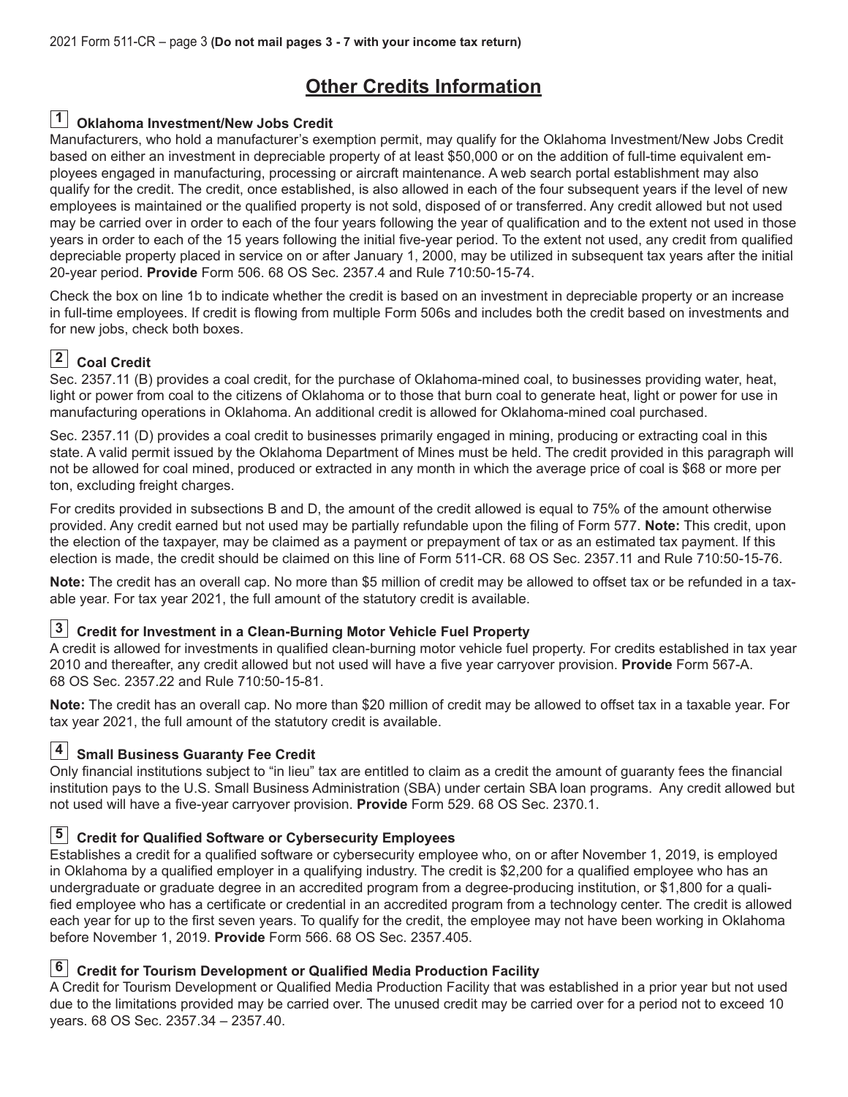#### **Oklahoma Investment/New Jobs Credit 1**

Manufacturers, who hold a manufacturer's exemption permit, may qualify for the Oklahoma Investment/New Jobs Credit based on either an investment in depreciable property of at least \$50,000 or on the addition of full-time equivalent employees engaged in manufacturing, processing or aircraft maintenance. A web search portal establishment may also qualify for the credit. The credit, once established, is also allowed in each of the four subsequent years if the level of new employees is maintained or the qualified property is not sold, disposed of or transferred. Any credit allowed but not used may be carried over in order to each of the four years following the year of qualification and to the extent not used in those years in order to each of the 15 years following the initial five-year period. To the extent not used, any credit from qualified depreciable property placed in service on or after January 1, 2000, may be utilized in subsequent tax years after the initial 20-year period. **Provide** Form 506. 68 OS Sec. 2357.4 and Rule 710:50-15-74.

Check the box on line 1b to indicate whether the credit is based on an investment in depreciable property or an increase in full-time employees. If credit is flowing from multiple Form 506s and includes both the credit based on investments and for new jobs, check both boxes.

### **Coal Credit 2**

Sec. 2357.11 (B) provides a coal credit, for the purchase of Oklahoma-mined coal, to businesses providing water, heat, light or power from coal to the citizens of Oklahoma or to those that burn coal to generate heat, light or power for use in manufacturing operations in Oklahoma. An additional credit is allowed for Oklahoma-mined coal purchased.

Sec. 2357.11 (D) provides a coal credit to businesses primarily engaged in mining, producing or extracting coal in this state. A valid permit issued by the Oklahoma Department of Mines must be held. The credit provided in this paragraph will not be allowed for coal mined, produced or extracted in any month in which the average price of coal is \$68 or more per ton, excluding freight charges.

For credits provided in subsections B and D, the amount of the credit allowed is equal to 75% of the amount otherwise provided. Any credit earned but not used may be partially refundable upon the filing of Form 577. **Note:** This credit, upon the election of the taxpayer, may be claimed as a payment or prepayment of tax or as an estimated tax payment. If this election is made, the credit should be claimed on this line of Form 511-CR. 68 OS Sec. 2357.11 and Rule 710:50-15-76.

**Note:** The credit has an overall cap. No more than \$5 million of credit may be allowed to offset tax or be refunded in a taxable year. For tax year 2021, the full amount of the statutory credit is available.

#### **Credit for Investment in a Clean-Burning Motor Vehicle Fuel Property 3**

A credit is allowed for investments in qualified clean-burning motor vehicle fuel property. For credits established in tax year 2010 and thereafter, any credit allowed but not used will have a five year carryover provision. **Provide** Form 567-A. 68 OS Sec. 2357.22 and Rule 710:50-15-81.

**Note:** The credit has an overall cap. No more than \$20 million of credit may be allowed to offset tax in a taxable year. For tax year 2021, the full amount of the statutory credit is available.

#### **Small Business Guaranty Fee Credit 4**

Only financial institutions subject to "in lieu" tax are entitled to claim as a credit the amount of guaranty fees the financial institution pays to the U.S. Small Business Administration (SBA) under certain SBA loan programs. Any credit allowed but not used will have a five-year carryover provision. **Provide** Form 529. 68 OS Sec. 2370.1.

#### **5** Credit for Qualified Software or Cybersecurity Employees

Establishes a credit for a qualified software or cybersecurity employee who, on or after November 1, 2019, is employed in Oklahoma by a qualified employer in a qualifying industry. The credit is \$2,200 for a qualified employee who has an undergraduate or graduate degree in an accredited program from a degree-producing institution, or \$1,800 for a qualified employee who has a certificate or credential in an accredited program from a technology center. The credit is allowed each year for up to the first seven years. To qualify for the credit, the employee may not have been working in Oklahoma before November 1, 2019. **Provide** Form 566. 68 OS Sec. 2357.405.

#### **Credit for Tourism Development or Qualified Media Production Facility 6**

A Credit for Tourism Development or Qualified Media Production Facility that was established in a prior year but not used due to the limitations provided may be carried over. The unused credit may be carried over for a period not to exceed 10 years. 68 OS Sec. 2357.34 – 2357.40.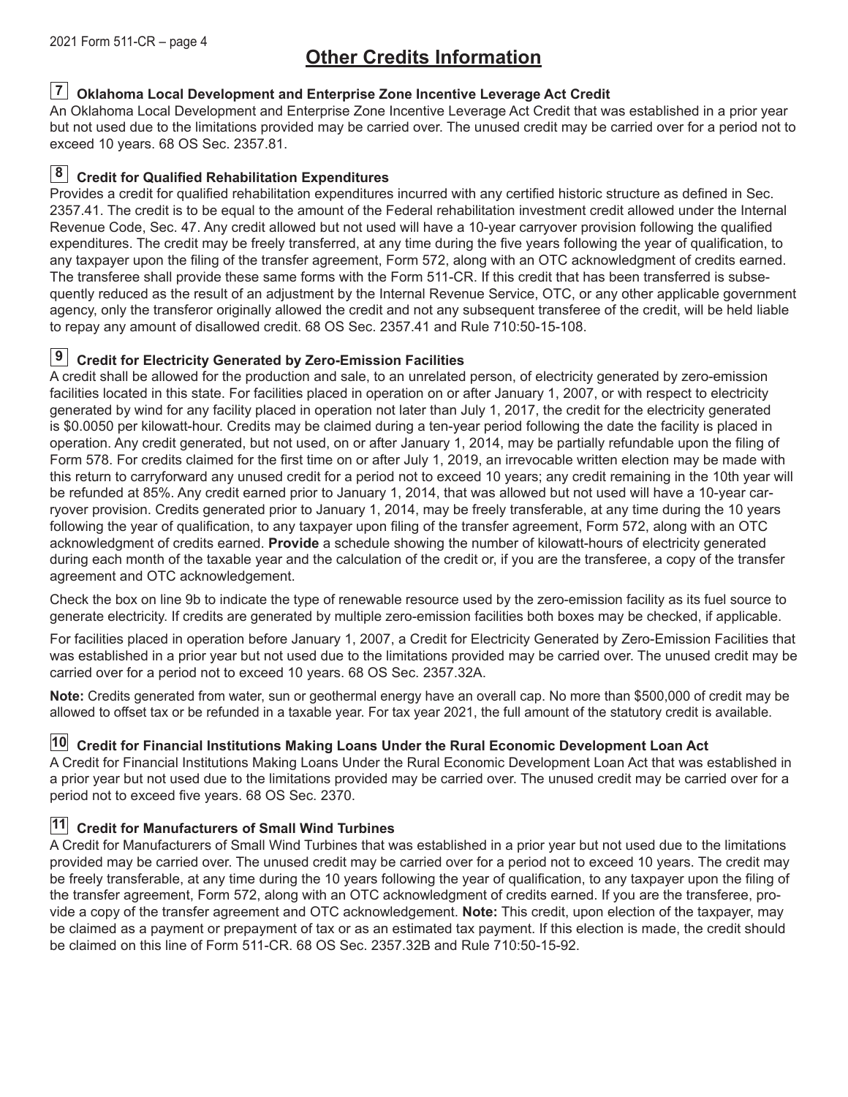#### **Oklahoma Local Development and Enterprise Zone Incentive Leverage Act Credit 7**

An Oklahoma Local Development and Enterprise Zone Incentive Leverage Act Credit that was established in a prior year but not used due to the limitations provided may be carried over. The unused credit may be carried over for a period not to exceed 10 years. 68 OS Sec. 2357.81.

#### **Credit for Qualified Rehabilitation Expenditures 8**

Provides a credit for qualified rehabilitation expenditures incurred with any certified historic structure as defined in Sec. 2357.41. The credit is to be equal to the amount of the Federal rehabilitation investment credit allowed under the Internal Revenue Code, Sec. 47. Any credit allowed but not used will have a 10-year carryover provision following the qualified expenditures. The credit may be freely transferred, at any time during the five years following the year of qualification, to any taxpayer upon the filing of the transfer agreement, Form 572, along with an OTC acknowledgment of credits earned. The transferee shall provide these same forms with the Form 511-CR. If this credit that has been transferred is subsequently reduced as the result of an adjustment by the Internal Revenue Service, OTC, or any other applicable government agency, only the transferor originally allowed the credit and not any subsequent transferee of the credit, will be held liable to repay any amount of disallowed credit. 68 OS Sec. 2357.41 and Rule 710:50-15-108.

#### **Credit for Electricity Generated by Zero-Emission Facilities 9**

A credit shall be allowed for the production and sale, to an unrelated person, of electricity generated by zero-emission facilities located in this state. For facilities placed in operation on or after January 1, 2007, or with respect to electricity generated by wind for any facility placed in operation not later than July 1, 2017, the credit for the electricity generated is \$0.0050 per kilowatt-hour. Credits may be claimed during a ten-year period following the date the facility is placed in operation. Any credit generated, but not used, on or after January 1, 2014, may be partially refundable upon the filing of Form 578. For credits claimed for the first time on or after July 1, 2019, an irrevocable written election may be made with this return to carryforward any unused credit for a period not to exceed 10 years; any credit remaining in the 10th year will be refunded at 85%. Any credit earned prior to January 1, 2014, that was allowed but not used will have a 10-year carryover provision. Credits generated prior to January 1, 2014, may be freely transferable, at any time during the 10 years following the year of qualification, to any taxpayer upon filing of the transfer agreement, Form 572, along with an OTC acknowledgment of credits earned. **Provide** a schedule showing the number of kilowatt-hours of electricity generated during each month of the taxable year and the calculation of the credit or, if you are the transferee, a copy of the transfer agreement and OTC acknowledgement.

Check the box on line 9b to indicate the type of renewable resource used by the zero-emission facility as its fuel source to generate electricity. If credits are generated by multiple zero-emission facilities both boxes may be checked, if applicable.

For facilities placed in operation before January 1, 2007, a Credit for Electricity Generated by Zero-Emission Facilities that was established in a prior year but not used due to the limitations provided may be carried over. The unused credit may be carried over for a period not to exceed 10 years. 68 OS Sec. 2357.32A.

**Note:** Credits generated from water, sun or geothermal energy have an overall cap. No more than \$500,000 of credit may be allowed to offset tax or be refunded in a taxable year. For tax year 2021, the full amount of the statutory credit is available.

#### **Credit for Financial Institutions Making Loans Under the Rural Economic Development Loan Act 10**

A Credit for Financial Institutions Making Loans Under the Rural Economic Development Loan Act that was established in a prior year but not used due to the limitations provided may be carried over. The unused credit may be carried over for a period not to exceed five years. 68 OS Sec. 2370.

#### **Credit for Manufacturers of Small Wind Turbines 11**

A Credit for Manufacturers of Small Wind Turbines that was established in a prior year but not used due to the limitations provided may be carried over. The unused credit may be carried over for a period not to exceed 10 years. The credit may be freely transferable, at any time during the 10 years following the year of qualification, to any taxpayer upon the filing of the transfer agreement, Form 572, along with an OTC acknowledgment of credits earned. If you are the transferee, provide a copy of the transfer agreement and OTC acknowledgement. **Note:** This credit, upon election of the taxpayer, may be claimed as a payment or prepayment of tax or as an estimated tax payment. If this election is made, the credit should be claimed on this line of Form 511-CR. 68 OS Sec. 2357.32B and Rule 710:50-15-92.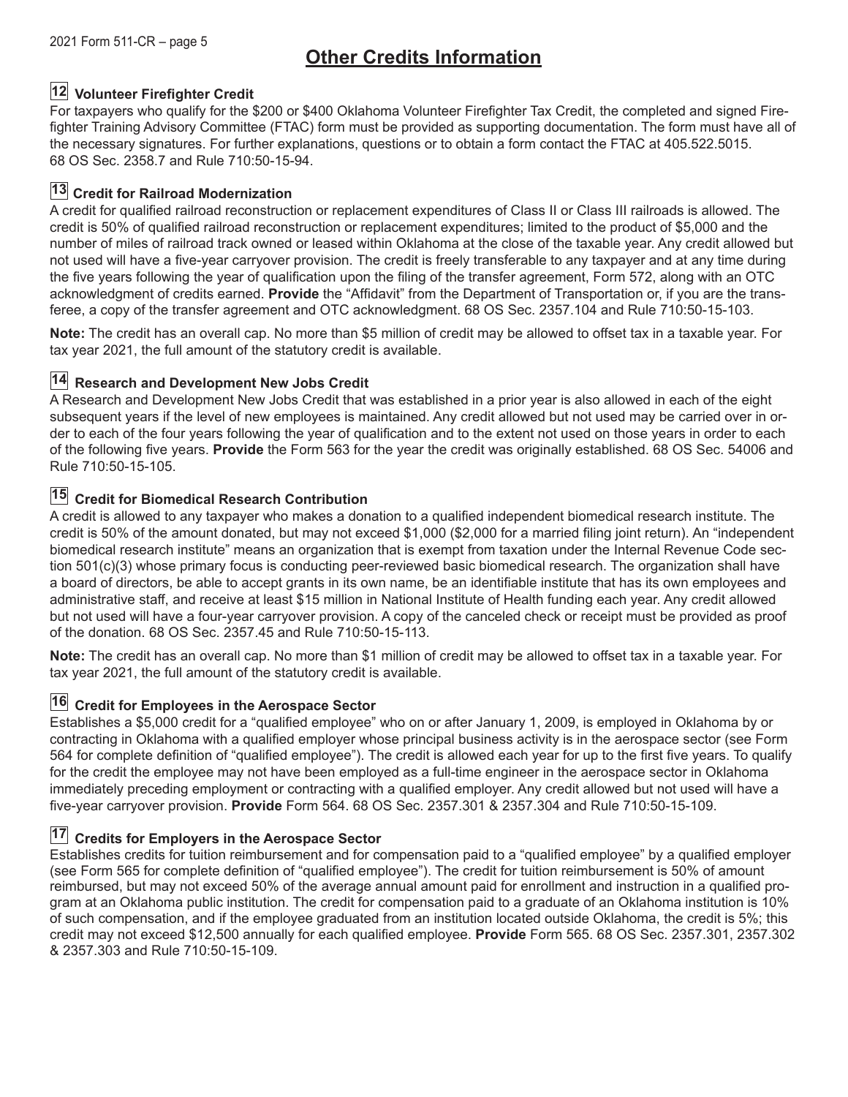#### **Volunteer Firefighter Credit 12**

For taxpayers who qualify for the \$200 or \$400 Oklahoma Volunteer Firefighter Tax Credit, the completed and signed Firefighter Training Advisory Committee (FTAC) form must be provided as supporting documentation. The form must have all of the necessary signatures. For further explanations, questions or to obtain a form contact the FTAC at 405.522.5015. 68 OS Sec. 2358.7 and Rule 710:50-15-94.

#### **13 Credit for Railroad Modernization**

A credit for qualified railroad reconstruction or replacement expenditures of Class II or Class III railroads is allowed. The credit is 50% of qualified railroad reconstruction or replacement expenditures; limited to the product of \$5,000 and the number of miles of railroad track owned or leased within Oklahoma at the close of the taxable year. Any credit allowed but not used will have a five-year carryover provision. The credit is freely transferable to any taxpayer and at any time during the five years following the year of qualification upon the filing of the transfer agreement, Form 572, along with an OTC acknowledgment of credits earned. **Provide** the "Affidavit" from the Department of Transportation or, if you are the transferee, a copy of the transfer agreement and OTC acknowledgment. 68 OS Sec. 2357.104 and Rule 710:50-15-103.

**Note:** The credit has an overall cap. No more than \$5 million of credit may be allowed to offset tax in a taxable year. For tax year 2021, the full amount of the statutory credit is available.

#### **14 Research and Development New Jobs Credit**

A Research and Development New Jobs Credit that was established in a prior year is also allowed in each of the eight subsequent years if the level of new employees is maintained. Any credit allowed but not used may be carried over in order to each of the four years following the year of qualification and to the extent not used on those years in order to each of the following five years. **Provide** the Form 563 for the year the credit was originally established. 68 OS Sec. 54006 and Rule 710:50-15-105.

#### **Credit for Biomedical Research Contribution 15**

A credit is allowed to any taxpayer who makes a donation to a qualified independent biomedical research institute. The credit is 50% of the amount donated, but may not exceed \$1,000 (\$2,000 for a married filing joint return). An "independent biomedical research institute" means an organization that is exempt from taxation under the Internal Revenue Code section 501(c)(3) whose primary focus is conducting peer-reviewed basic biomedical research. The organization shall have a board of directors, be able to accept grants in its own name, be an identifiable institute that has its own employees and administrative staff, and receive at least \$15 million in National Institute of Health funding each year. Any credit allowed but not used will have a four-year carryover provision. A copy of the canceled check or receipt must be provided as proof of the donation. 68 OS Sec. 2357.45 and Rule 710:50-15-113.

**Note:** The credit has an overall cap. No more than \$1 million of credit may be allowed to offset tax in a taxable year. For tax year 2021, the full amount of the statutory credit is available.

#### **Credit for Employees in the Aerospace Sector 16**

Establishes a \$5,000 credit for a "qualified employee" who on or after January 1, 2009, is employed in Oklahoma by or contracting in Oklahoma with a qualified employer whose principal business activity is in the aerospace sector (see Form 564 for complete definition of "qualified employee"). The credit is allowed each year for up to the first five years. To qualify for the credit the employee may not have been employed as a full-time engineer in the aerospace sector in Oklahoma immediately preceding employment or contracting with a qualified employer. Any credit allowed but not used will have a five-year carryover provision. **Provide** Form 564. 68 OS Sec. 2357.301 & 2357.304 and Rule 710:50-15-109.

#### $17$  Credits for Employers in the Aerospace Sector

Establishes credits for tuition reimbursement and for compensation paid to a "qualified employee" by a qualified employer (see Form 565 for complete definition of "qualified employee"). The credit for tuition reimbursement is 50% of amount reimbursed, but may not exceed 50% of the average annual amount paid for enrollment and instruction in a qualified program at an Oklahoma public institution. The credit for compensation paid to a graduate of an Oklahoma institution is 10% of such compensation, and if the employee graduated from an institution located outside Oklahoma, the credit is 5%; this credit may not exceed \$12,500 annually for each qualified employee. **Provide** Form 565. 68 OS Sec. 2357.301, 2357.302 & 2357.303 and Rule 710:50-15-109.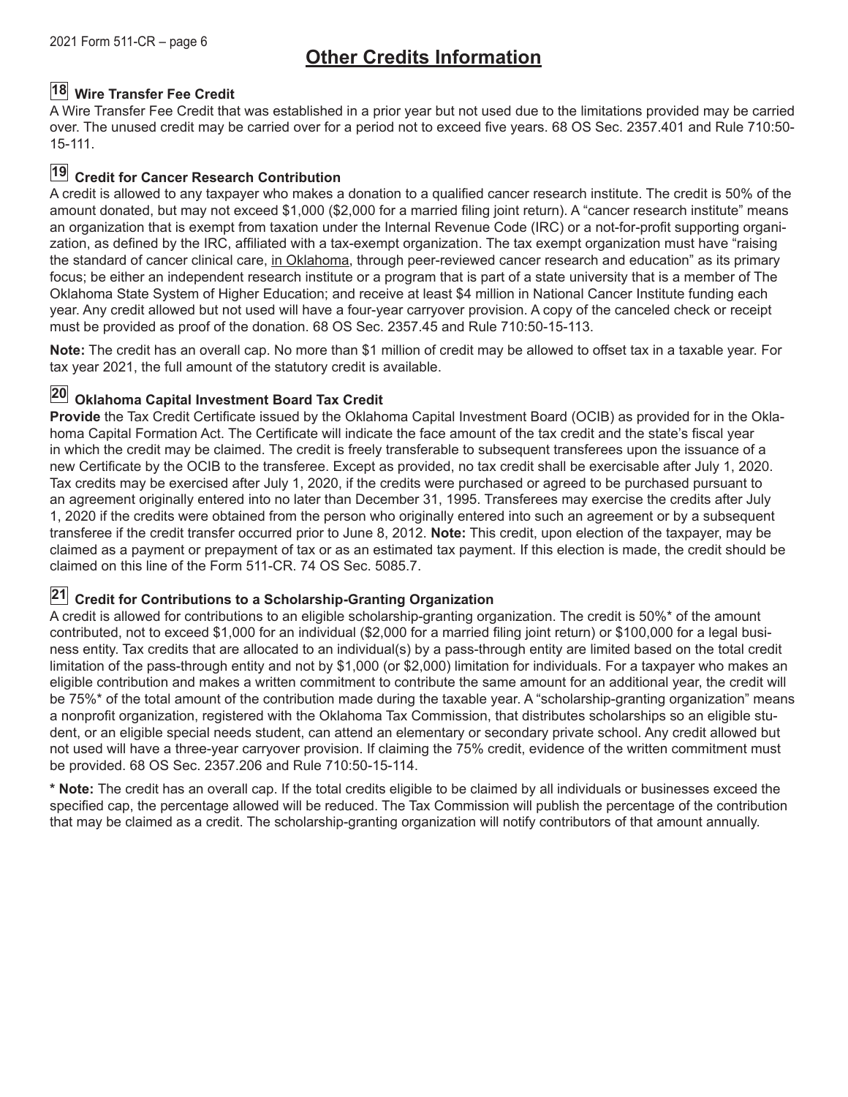#### **Wire Transfer Fee Credit 18**

A Wire Transfer Fee Credit that was established in a prior year but not used due to the limitations provided may be carried over. The unused credit may be carried over for a period not to exceed five years. 68 OS Sec. 2357.401 and Rule 710:50- 15-111.

### **Credit for Cancer Research Contribution 19**

A credit is allowed to any taxpayer who makes a donation to a qualified cancer research institute. The credit is 50% of the amount donated, but may not exceed \$1,000 (\$2,000 for a married filing joint return). A "cancer research institute" means an organization that is exempt from taxation under the Internal Revenue Code (IRC) or a not-for-profit supporting organization, as defined by the IRC, affiliated with a tax-exempt organization. The tax exempt organization must have "raising the standard of cancer clinical care, in Oklahoma, through peer-reviewed cancer research and education" as its primary focus; be either an independent research institute or a program that is part of a state university that is a member of The Oklahoma State System of Higher Education; and receive at least \$4 million in National Cancer Institute funding each year. Any credit allowed but not used will have a four-year carryover provision. A copy of the canceled check or receipt must be provided as proof of the donation. 68 OS Sec. 2357.45 and Rule 710:50-15-113.

**Note:** The credit has an overall cap. No more than \$1 million of credit may be allowed to offset tax in a taxable year. For tax year 2021, the full amount of the statutory credit is available.

#### **Oklahoma Capital Investment Board Tax Credit 20**

**Provide** the Tax Credit Certificate issued by the Oklahoma Capital Investment Board (OCIB) as provided for in the Oklahoma Capital Formation Act. The Certificate will indicate the face amount of the tax credit and the state's fiscal year in which the credit may be claimed. The credit is freely transferable to subsequent transferees upon the issuance of a new Certificate by the OCIB to the transferee. Except as provided, no tax credit shall be exercisable after July 1, 2020. Tax credits may be exercised after July 1, 2020, if the credits were purchased or agreed to be purchased pursuant to an agreement originally entered into no later than December 31, 1995. Transferees may exercise the credits after July 1, 2020 if the credits were obtained from the person who originally entered into such an agreement or by a subsequent transferee if the credit transfer occurred prior to June 8, 2012. **Note:** This credit, upon election of the taxpayer, may be claimed as a payment or prepayment of tax or as an estimated tax payment. If this election is made, the credit should be claimed on this line of the Form 511-CR. 74 OS Sec. 5085.7.

#### **Credit for Contributions to a Scholarship-Granting Organization 21**

A credit is allowed for contributions to an eligible scholarship-granting organization. The credit is 50%\* of the amount contributed, not to exceed \$1,000 for an individual (\$2,000 for a married filing joint return) or \$100,000 for a legal business entity. Tax credits that are allocated to an individual(s) by a pass-through entity are limited based on the total credit limitation of the pass-through entity and not by \$1,000 (or \$2,000) limitation for individuals. For a taxpayer who makes an eligible contribution and makes a written commitment to contribute the same amount for an additional year, the credit will be 75%\* of the total amount of the contribution made during the taxable year. A "scholarship-granting organization" means a nonprofit organization, registered with the Oklahoma Tax Commission, that distributes scholarships so an eligible student, or an eligible special needs student, can attend an elementary or secondary private school. Any credit allowed but not used will have a three-year carryover provision. If claiming the 75% credit, evidence of the written commitment must be provided. 68 OS Sec. 2357.206 and Rule 710:50-15-114.

**\* Note:** The credit has an overall cap. If the total credits eligible to be claimed by all individuals or businesses exceed the specified cap, the percentage allowed will be reduced. The Tax Commission will publish the percentage of the contribution that may be claimed as a credit. The scholarship-granting organization will notify contributors of that amount annually.